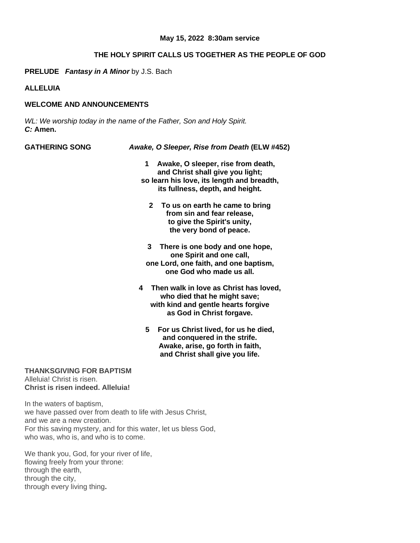# **THE HOLY SPIRIT CALLS US TOGETHER AS THE PEOPLE OF GOD**

**PRELUDE** *Fantasy in A Minor* by J.S. Bach

# **ALLELUIA**

# **WELCOME AND ANNOUNCEMENTS**

*WL: We worship today in the name of the Father, Son and Holy Spirit. C:* **Amen.**

|  |  |  | GATHERING SONG |  |  |
|--|--|--|----------------|--|--|
|  |  |  |                |  |  |

# **GATHERING SONG** *Awake, O Sleeper, Rise from Death* **(ELW #452)**

- **1 Awake, O sleeper, rise from death, and Christ shall give you light; so learn his love, its length and breadth, its fullness, depth, and height.**
	- **2 To us on earth he came to bring from sin and fear release, to give the Spirit's unity, the very bond of peace.**
	- **3 There is one body and one hope, one Spirit and one call, one Lord, one faith, and one baptism, one God who made us all.**
- **4 Then walk in love as Christ has loved, who died that he might save; with kind and gentle hearts forgive as God in Christ forgave.**
	- **5 For us Christ lived, for us he died, and conquered in the strife. Awake, arise, go forth in faith, and Christ shall give you life.**

## **THANKSGIVING FOR BAPTISM** Alleluia! Christ is risen. **Christ is risen indeed. Alleluia!**

In the waters of baptism, we have passed over from death to life with Jesus Christ, and we are a new creation. For this saving mystery, and for this water, let us bless God, who was, who is, and who is to come.

We thank you, God, for your river of life, flowing freely from your throne: through the earth, through the city, through every living thing**.**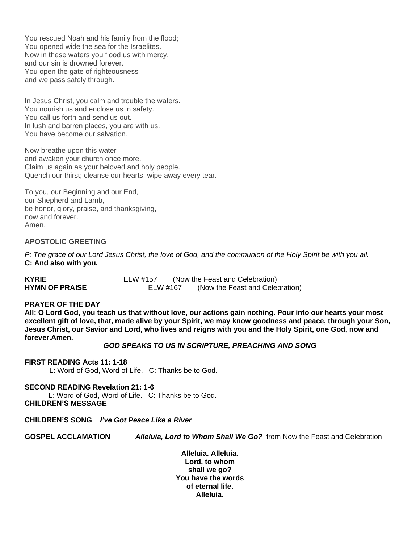You rescued Noah and his family from the flood; You opened wide the sea for the Israelites. Now in these waters you flood us with mercy, and our sin is drowned forever. You open the gate of righteousness and we pass safely through.

In Jesus Christ, you calm and trouble the waters. You nourish us and enclose us in safety. You call us forth and send us out. In lush and barren places, you are with us. You have become our salvation.

Now breathe upon this water and awaken your church once more. Claim us again as your beloved and holy people. Quench our thirst; cleanse our hearts; wipe away every tear.

To you, our Beginning and our End, our Shepherd and Lamb, be honor, glory, praise, and thanksgiving, now and forever. Amen.

# **APOSTOLIC GREETING**

P: The grace of our Lord Jesus Christ, the love of God, and the communion of the Holy Spirit be with you all. **C: And also with you.**

| <b>KYRIE</b>          | ELW #157 | (Now the Feast and Celebration) |
|-----------------------|----------|---------------------------------|
| <b>HYMN OF PRAISE</b> | ELW #167 | (Now the Feast and Celebration) |

# **PRAYER OF THE DAY**

**All: O Lord God, you teach us that without love, our actions gain nothing. Pour into our hearts your most excellent gift of love, that, made alive by your Spirit, we may know goodness and peace, through your Son, Jesus Christ, our Savior and Lord, who lives and reigns with you and the Holy Spirit, one God, now and forever.Amen.**

# *GOD SPEAKS TO US IN SCRIPTURE, PREACHING AND SONG*

**FIRST READING Acts 11: 1-18** L: Word of God, Word of Life. C: Thanks be to God.

**SECOND READING Revelation 21: 1-6** L: Word of God, Word of Life. C: Thanks be to God. **CHILDREN'S MESSAGE**

**CHILDREN'S SONG** *I've Got Peace Like a River*

**GOSPEL ACCLAMATION** *Alleluia, Lord to Whom Shall We Go?* from Now the Feast and Celebration

**Alleluia. Alleluia. Lord, to whom shall we go? You have the words of eternal life. Alleluia.**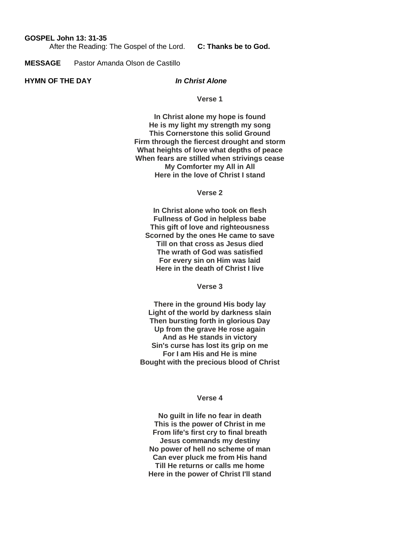# **GOSPEL John 13: 31-35**

After the Reading: The Gospel of the Lord. **C: Thanks be to God.**

# **MESSAGE** Pastor Amanda Olson de Castillo

# **HYMN OF THE DAY** *In Christ Alone*

### **Verse 1**

**In Christ alone my hope is found He is my light my strength my song This Cornerstone this solid Ground Firm through the fiercest drought and storm What heights of love what depths of peace When fears are stilled when strivings cease My Comforter my All in All Here in the love of Christ I stand**

## **Verse 2**

**In Christ alone who took on flesh Fullness of God in helpless babe This gift of love and righteousness Scorned by the ones He came to save Till on that cross as Jesus died The wrath of God was satisfied For every sin on Him was laid Here in the death of Christ I live**

**Verse 3**

**There in the ground His body lay Light of the world by darkness slain Then bursting forth in glorious Day Up from the grave He rose again And as He stands in victory Sin's curse has lost its grip on me For I am His and He is mine Bought with the precious blood of Christ**

#### **Verse 4**

**No guilt in life no fear in death This is the power of Christ in me From life's first cry to final breath Jesus commands my destiny No power of hell no scheme of man Can ever pluck me from His hand Till He returns or calls me home Here in the power of Christ I'll stand**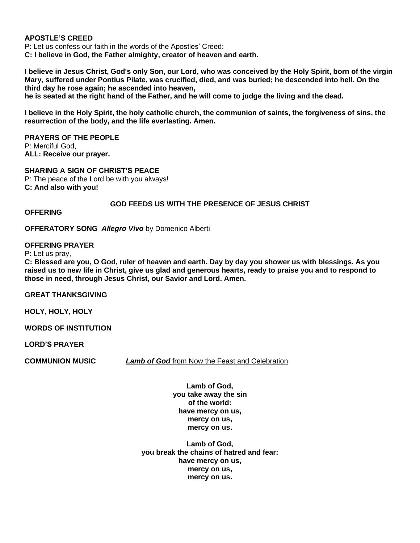# **APOSTLE'S CREED**

P: Let us confess our faith in the words of the Apostles' Creed: **C: I believe in God, the Father almighty, creator of heaven and earth.**

I believe in Jesus Christ, God's only Son, our Lord, who was conceived by the Holy Spirit, born of the virgin **Mary, suffered under Pontius Pilate, was crucified, died, and was buried; he descended into hell. On the third day he rose again; he ascended into heaven,**

he is seated at the right hand of the Father, and he will come to judge the living and the dead.

I believe in the Holy Spirit, the holy catholic church, the communion of saints, the forgiveness of sins, the **resurrection of the body, and the life everlasting. Amen.**

**PRAYERS OF THE PEOPLE** P: Merciful God, **ALL: Receive our prayer.**

**SHARING A SIGN OF CHRIST'S PEACE** P: The peace of the Lord be with you always! **C: And also with you!**

# **GOD FEEDS US WITH THE PRESENCE OF JESUS CHRIST**

# **OFFERING**

**OFFERATORY SONG** *Allegro Vivo* by Domenico Alberti

# **OFFERING PRAYER**

P: Let us pray,

C: Blessed are you, O God, ruler of heaven and earth. Day by day you shower us with blessings. As you raised us to new life in Christ, give us glad and generous hearts, ready to praise you and to respond to **those in need, through Jesus Christ, our Savior and Lord. Amen.**

**GREAT THANKSGIVING**

**HOLY, HOLY, HOLY**

**WORDS OF INSTITUTION**

**LORD'S PRAYER**

**COMMUNION MUSIC** *Lamb of God* from Now the Feast and Celebration

**Lamb of God, you take away the sin of the world: have mercy on us, mercy on us, mercy on us.**

**Lamb of God, you break the chains of hatred and fear: have mercy on us, mercy on us, mercy on us.**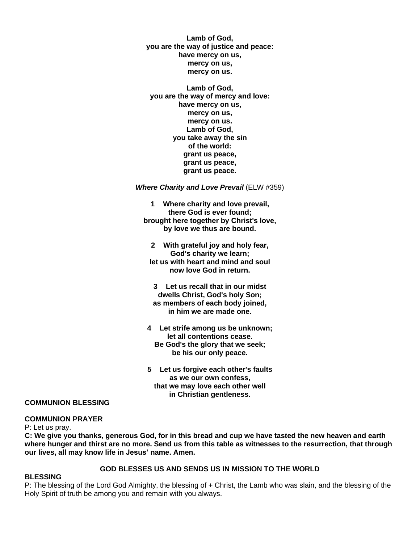**Lamb of God, you are the way of justice and peace: have mercy on us, mercy on us, mercy on us.**

**Lamb of God, you are the way of mercy and love: have mercy on us, mercy on us, mercy on us. Lamb of God, you take away the sin of the world: grant us peace, grant us peace, grant us peace.**

# *Where Charity and Love Prevail* (ELW #359)

**1 Where charity and love prevail, there God is ever found; brought here together by Christ's love, by love we thus are bound.**

**2 With grateful joy and holy fear, God's charity we learn; let us with heart and mind and soul now love God in return.**

- **3 Let us recall that in our midst dwells Christ, God's holy Son; as members of each body joined, in him we are made one.**
- **4 Let strife among us be unknown; let all contentions cease. Be God's the glory that we seek; be his our only peace.**
- **5 Let us forgive each other's faults as we our own confess, that we may love each other well in Christian gentleness.**

### **COMMUNION BLESSING**

# **COMMUNION PRAYER**

P: Let us pray.

C: We give you thanks, generous God, for in this bread and cup we have tasted the new heaven and earth where hunger and thirst are no more. Send us from this table as witnesses to the resurrection, that through **our lives, all may know life in Jesus' name. Amen.**

# **GOD BLESSES US AND SENDS US IN MISSION TO THE WORLD**

# **BLESSING**

P: The blessing of the Lord God Almighty, the blessing of + Christ, the Lamb who was slain, and the blessing of the Holy Spirit of truth be among you and remain with you always.